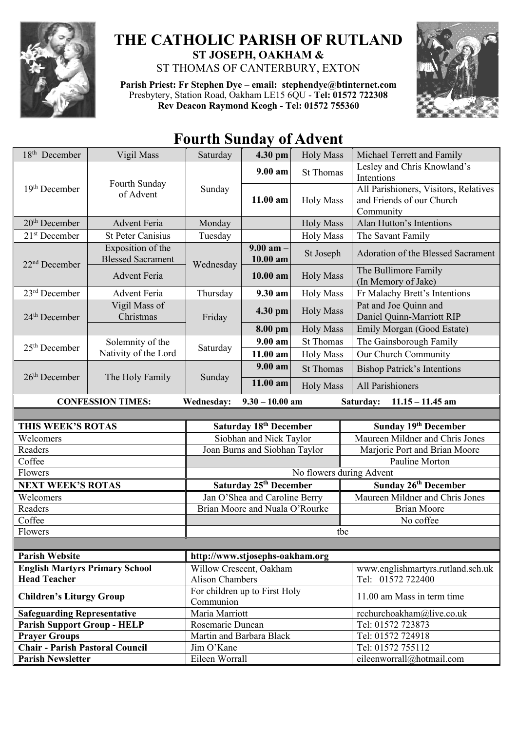

## **THE CATHOLIC PARISH OF RUTLAND ST JOSEPH, OAKHAM &**  ST THOMAS OF CANTERBURY, EXTON

**Parish Priest: Fr Stephen Dye** – **[email: stephendye@btinternet.com](mailto:email:%20%20stephendye@btinternet.com)** Presbytery, Station Road, Oakham LE15 6QU - **Tel: 01572 722308 Rev Deacon Raymond Keogh - Tel: 01572 755360**



## **Fourth Sunday of Advent**

| 18 <sup>th</sup> December                                                                      | Vigil Mass                                    | Saturday                                   | 4.30 pm                        | <b>Holy Mass</b>         | Michael Terrett and Family                                                      |  |
|------------------------------------------------------------------------------------------------|-----------------------------------------------|--------------------------------------------|--------------------------------|--------------------------|---------------------------------------------------------------------------------|--|
| $19th$ December                                                                                | Fourth Sunday<br>of Advent                    | Sunday                                     | $9.00 a$ m                     | <b>St Thomas</b>         | Lesley and Chris Knowland's<br>Intentions                                       |  |
|                                                                                                |                                               |                                            | 11.00 am                       | <b>Holy Mass</b>         | All Parishioners, Visitors, Relatives<br>and Friends of our Church<br>Community |  |
| 20 <sup>th</sup> December                                                                      | <b>Advent Feria</b>                           | Monday                                     |                                | <b>Holy Mass</b>         | Alan Hutton's Intentions                                                        |  |
| 21 <sup>st</sup> December                                                                      | <b>St Peter Canisius</b>                      | Tuesday                                    |                                | <b>Holy Mass</b>         | The Savant Family                                                               |  |
| 22 <sup>nd</sup> December                                                                      | Exposition of the<br><b>Blessed Sacrament</b> | Wednesday                                  | $9.00$ am $-$<br>10.00 am      | St Joseph                | Adoration of the Blessed Sacrament                                              |  |
|                                                                                                | <b>Advent Feria</b>                           |                                            | $10.00$ am                     | <b>Holy Mass</b>         | The Bullimore Family<br>(In Memory of Jake)                                     |  |
| 23 <sup>rd</sup> December                                                                      | <b>Advent Feria</b>                           | Thursday                                   | 9.30 am                        | <b>Holy Mass</b>         | Fr Malachy Brett's Intentions                                                   |  |
| 24 <sup>th</sup> December                                                                      | Vigil Mass of<br>Christmas                    | Friday                                     | 4.30 pm                        | <b>Holy Mass</b>         | Pat and Joe Quinn and<br>Daniel Quinn-Marriott RIP                              |  |
|                                                                                                |                                               |                                            | 8.00 pm                        | <b>Holy Mass</b>         | Emily Morgan (Good Estate)                                                      |  |
| 25 <sup>th</sup> December                                                                      | Solemnity of the                              | Saturday                                   | $9.00 a$ m                     | <b>St Thomas</b>         | The Gainsborough Family                                                         |  |
|                                                                                                | Nativity of the Lord                          |                                            | 11.00 am                       | <b>Holy Mass</b>         | Our Church Community                                                            |  |
| $26th$ December                                                                                | The Holy Family                               | Sunday                                     | 9.00 am                        | <b>St Thomas</b>         | <b>Bishop Patrick's Intentions</b>                                              |  |
|                                                                                                |                                               |                                            | 11.00 am                       | <b>Holy Mass</b>         | All Parishioners                                                                |  |
| <b>CONFESSION TIMES:</b><br>$9.30 - 10.00$ am<br>Wednesday:<br>Saturday:<br>$11.15 - 11.45$ am |                                               |                                            |                                |                          |                                                                                 |  |
|                                                                                                |                                               |                                            |                                |                          |                                                                                 |  |
|                                                                                                |                                               |                                            |                                |                          |                                                                                 |  |
| THIS WEEK'S ROTAS                                                                              |                                               |                                            | Saturday 18th December         |                          | Sunday 19th December                                                            |  |
| Welcomers                                                                                      |                                               |                                            | Siobhan and Nick Taylor        |                          | Maureen Mildner and Chris Jones                                                 |  |
| Readers                                                                                        |                                               |                                            | Joan Burns and Siobhan Taylor  |                          | Marjorie Port and Brian Moore                                                   |  |
| Coffee                                                                                         |                                               |                                            |                                |                          | Pauline Morton                                                                  |  |
| Flowers                                                                                        |                                               |                                            |                                | No flowers during Advent |                                                                                 |  |
| <b>NEXT WEEK'S ROTAS</b>                                                                       |                                               |                                            | Saturday 25th December         |                          | Sunday 26th December                                                            |  |
| Welcomers                                                                                      |                                               |                                            | Jan O'Shea and Caroline Berry  |                          | Maureen Mildner and Chris Jones                                                 |  |
| Readers                                                                                        |                                               |                                            | Brian Moore and Nuala O'Rourke |                          | <b>Brian Moore</b>                                                              |  |
| Coffee                                                                                         |                                               |                                            |                                |                          | No coffee                                                                       |  |
| Flowers                                                                                        |                                               |                                            |                                | tbc                      |                                                                                 |  |
| <b>Parish Website</b>                                                                          |                                               | http://www.stjosephs-oakham.org            |                                |                          |                                                                                 |  |
| <b>English Martyrs Primary School</b>                                                          |                                               |                                            | Willow Crescent, Oakham        |                          | www.englishmartyrs.rutland.sch.uk                                               |  |
| <b>Head Teacher</b>                                                                            |                                               | Alison Chambers                            |                                |                          | Tel: 01572 722400                                                               |  |
| <b>Children's Liturgy Group</b>                                                                |                                               | For children up to First Holy<br>Communion |                                |                          | 11.00 am Mass in term time                                                      |  |
| <b>Safeguarding Representative</b>                                                             |                                               | Maria Marriott                             |                                |                          | rcchurchoakham@live.co.uk                                                       |  |
| <b>Parish Support Group - HELP</b>                                                             |                                               | Rosemarie Duncan                           |                                |                          | Tel: 01572 723873                                                               |  |
| <b>Prayer Groups</b>                                                                           |                                               | Martin and Barbara Black                   |                                |                          | Tel: 01572 724918                                                               |  |
| <b>Chair - Parish Pastoral Council</b><br><b>Parish Newsletter</b>                             |                                               | Jim O'Kane<br>Eileen Worrall               |                                |                          | Tel: 01572 755112<br>eileenworrall@hotmail.com                                  |  |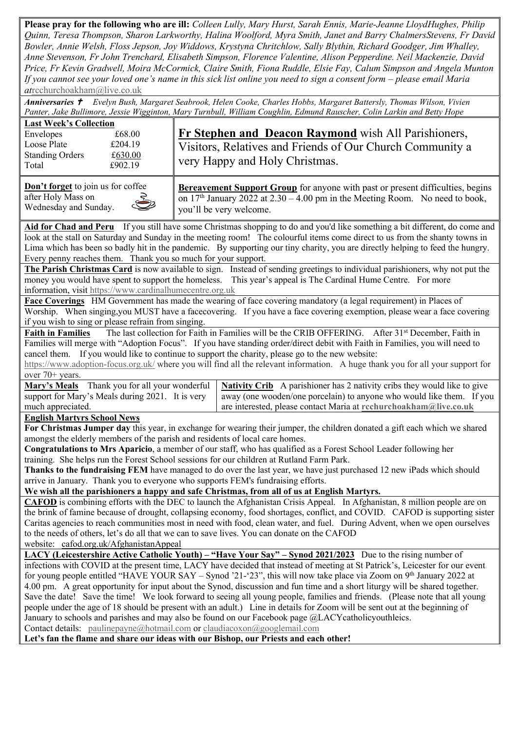**Please pray for the following who are ill:** *Colleen Lully, Mary Hurst, Sarah Ennis, Marie-Jeanne LloydHughes, Philip Quinn, Teresa Thompson, Sharon Larkworthy, Halina Woolford, Myra Smith, Janet and Barry ChalmersStevens, Fr David Bowler, Annie Welsh, Floss Jepson, Joy Widdows, Krystyna Chritchlow, Sally Blythin, Richard Goodger, Jim Whalley, Anne Stevenson, Fr John Trenchard, Elisabeth Simpson, Florence Valentine, Alison Pepperdine. Neil Mackenzie, David Price, Fr Kevin Gradwell, Moira McCormick, Claire Smith, Fiona Ruddle, Elsie Fay, Calum Simpson and Angela Munton If you cannot see your loved one's name in this sick list online you need to sign a consent form – please email Maria at*[rcchurchoakham@live.co.uk](mailto:rcchurchoakham@live.co.uk)

*Anniversaries Evelyn Bush, Margaret Seabrook, Helen Cooke, Charles Hobbs, Margaret Battersly, Thomas Wilson, Vivien Panter, Jake Bullimore, Jessie Wigginton, Mary Turnbull, William Coughlin, Edmund Rauscher, Colin Larkin and Betty Hope*

| <b>Last Week's Collection</b><br>£68.00<br>Envelopes<br>Loose Plate<br>£204.19<br><b>Standing Orders</b><br>£630.00<br>£902.19<br>Total | <b>Fr Stephen and Deacon Raymond</b> wish All Parishioners,<br>Visitors, Relatives and Friends of Our Church Community a<br>very Happy and Holy Christmas. |
|-----------------------------------------------------------------------------------------------------------------------------------------|------------------------------------------------------------------------------------------------------------------------------------------------------------|
| <b>Don't forget</b> to join us for coffee                                                                                               | <b>Bereavement Support Group</b> for anyone with past or present difficulties, begins                                                                      |

after Holy Mass on Wednesday and Sunday. on  $17<sup>th</sup>$  January 2022 at  $2.30 - 4.00$  pm in the Meeting Room. No need to book, you'll be very welcome.

**Aid for Chad and Peru** If you still have some Christmas shopping to do and you'd like something a bit different, do come and look at the stall on Saturday and Sunday in the meeting room! The colourful items come direct to us from the shanty towns in Lima which has been so badly hit in the pandemic. By supporting our tiny charity, you are directly helping to feed the hungry. Every penny reaches them. Thank you so much for your support.

**The Parish Christmas Card** is now available to sign. Instead of sending greetings to individual parishioners, why not put the money you would have spent to support the homeless. This year's appeal is The Cardinal Hume Centre. For more information, visit [https://www.cardinalhumecentre.org.uk](https://www.cardinalhumecentre.org.uk/)

**Face Coverings** HM Government has made the wearing of face covering mandatory (a legal requirement) in Places of Worship. When singing, you MUST have a facecovering. If you have a face covering exemption, please wear a face covering if you wish to sing or please refrain from singing.

**Faith in Families** The last collection for Faith in Families will be the CRIB OFFERING. After 31<sup>st</sup> December, Faith in Families will merge with "Adoption Focus". If you have standing order/direct debit with Faith in Families, you will need to cancel them. If you would like to continue to support the charity, please go to the new website:

<https://www.adoption-focus.org.uk/> where you will find all the relevant information. A huge thank you for all your support for over 70+ years.

|                                                  | Mary's Meals Thank you for all your wonderful   Nativity Crib A parishioner has 2 nativity cribs they would like to give |
|--------------------------------------------------|--------------------------------------------------------------------------------------------------------------------------|
| support for Mary's Meals during 2021. It is very | away (one wooden/one porcelain) to anyone who would like them. If you                                                    |
| much appreciated.                                | are interested, please contact Maria at rcchurchoakham@live.co.uk                                                        |
|                                                  |                                                                                                                          |

## **English Martyrs School News**

**For Christmas Jumper day** this year, in exchange for wearing their jumper, the children donated a gift each which we shared amongst the elderly members of the parish and residents of local care homes.

**Congratulations to Mrs Aparicio**, a member of our staff, who has qualified as a Forest School Leader following her training. She helps run the Forest School sessions for our children at Rutland Farm Park.

**Thanks to the fundraising FEM** have managed to do over the last year, we have just purchased 12 new iPads which should arrive in January. Thank you to everyone who supports FEM's fundraising efforts.

**We wish all the parishioners a happy and safe Christmas, from all of us at English Martyrs.**

**CAFOD** is combining efforts with the DEC to launch the Afghanistan Crisis Appeal. In Afghanistan, 8 million people are on the brink of famine because of drought, collapsing economy, food shortages, conflict, and COVID. CAFOD is supporting sister Caritas agencies to reach communities most in need with food, clean water, and fuel. During Advent, when we open ourselves to the needs of others, let's do all that we can to save lives. You can donate on the CAFOD

website: [cafod.org.uk/AfghanistanAppeal](https://cafod.org.uk/Give/Donate-to-Emergencies/Afghanistan-Crisis-Appeal)

**LACY (Leicestershire Active Catholic Youth) – "Have Your Say" – Synod 2021/2023** Due to the rising number of infections with COVID at the present time, LACY have decided that instead of meeting at St Patrick's, Leicester for our event for young people entitled "HAVE YOUR SAY – Synod '21-'23", this will now take place via Zoom on 9th January 2022 at 4.00 pm. A great opportunity for input about the Synod, discussion and fun time and a short liturgy will be shared together. Save the date! Save the time! We look forward to seeing all young people, families and friends. (Please note that all young people under the age of 18 should be present with an adult.) Line in details for Zoom will be sent out at the beginning of January to schools and parishes and may also be found on our Facebook page @LACYcatholicyouthleics. Contact details: [paulinepayne@hotmail.com](mailto:paulinepayne@hotmail.com) or [claudiacoxon@googlemail.com](mailto:claudiacoxon@googlemail.com)

**Let's fan the flame and share our ideas with our Bishop, our Priests and each other!**